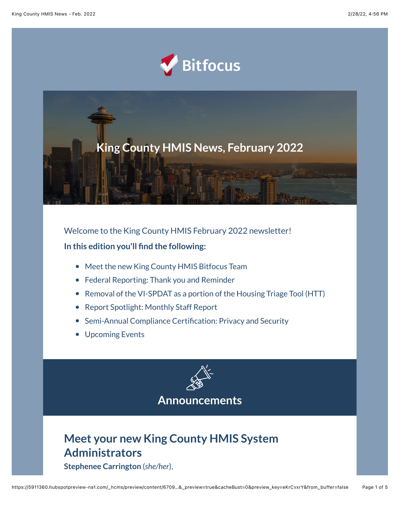



Welcome to the King County HMIS February 2022 newsletter! **In this edition you'll find the following:**

- Meet the new King County HMIS Bitfocus Team
- Federal Reporting: Thank you and Reminder
- Removal of the VI-SPDAT as a portion of the Housing Triage Tool (HTT)
- Report Spotlight: Monthly Staff Report
- Semi-Annual Compliance Certification: Privacy and Security
- Upcoming Events



# **Meet your new King County HMIS System Administrators**

**Stephenee Carrington** (*she/her*),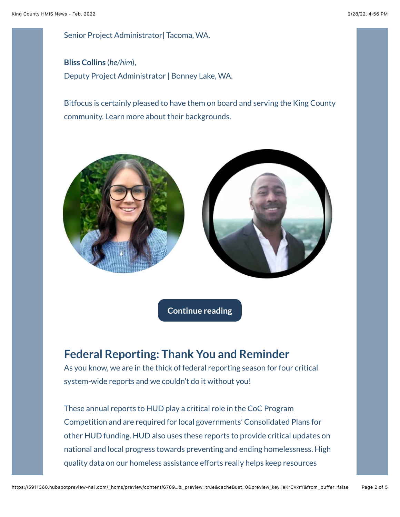Senior Project Administrator| Tacoma, WA.

**Bliss Collins** (*he/him*), Deputy Project Administrator | Bonney Lake, WA.

Bitfocus is certainly pleased to have them on board and serving the King County community. Learn more about their backgrounds.



**[Continue reading](https://www.bitfocus.com/hubfs/Meet%20you%20new%20King%20County%20HMIS%20SysAdmins%20-%20King.pdf?utm_source=hs_email&utm_medium=email&_hsenc=p2ANqtz--lJ0XNV-5esi5HgRh5O4Vp-PwuoHLWXbFK2pUcquAb0POOodrlKe2H8AYpi3WjLtHQCNXD)**

### **Federal Reporting: Thank You and Reminder**

As you know, we are in the thick of federal reporting season for four critical system-wide reports and we couldn't do it without you!

These annual reports to HUD play a critical role in the CoC Program Competition and are required for local governments' Consolidated Plans for other HUD funding. HUD also uses these reports to provide critical updates on national and local progress towards preventing and ending homelessness. High quality data on our homeless assistance efforts really helps keep resources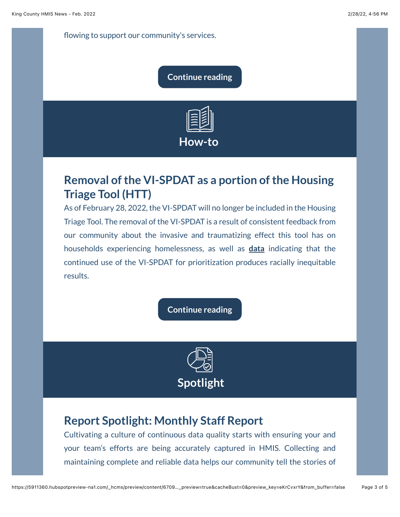flowing to support our community's services.

#### **[Continue reading](https://www.bitfocus.com/hubfs/CoAd%20Newsletters/King%20County/Federal%20Reporting%20Reminder%20-%20Feb.%20King.pdf?utm_source=hs_email&utm_medium=email&_hsenc=p2ANqtz--lJ0XNV-5esi5HgRh5O4Vp-PwuoHLWXbFK2pUcquAb0POOodrlKe2H8AYpi3WjLtHQCNXD)**



## **Removal of the VI-SPDAT as a portion of the Housing Triage Tool (HTT)**

As of February 28, 2022, the VI-SPDAT will no longer be included in the Housing Triage Tool. The removal of the VI-SPDAT is a result of consistent feedback from our community about the invasive and traumatizing effect this tool has on households experiencing homelessness, as well as **[data](https://c4innovates.com/wp-content/uploads/2019/10/CES_Racial_Equity-Analysis_Oct112019.pdf?utm_source=hs_email&utm_medium=email&_hsenc=p2ANqtz--lJ0XNV-5esi5HgRh5O4Vp-PwuoHLWXbFK2pUcquAb0POOodrlKe2H8AYpi3WjLtHQCNXD)** indicating that the continued use of the VI-SPDAT for prioritization produces racially inequitable results.

**[Continue reading](https://www.bitfocus.com/hubfs/CoAd%20Newsletters/King%20County/Removal%20of%20VI..%20-%20Feb.%20King.pdf?utm_source=hs_email&utm_medium=email&_hsenc=p2ANqtz--lJ0XNV-5esi5HgRh5O4Vp-PwuoHLWXbFK2pUcquAb0POOodrlKe2H8AYpi3WjLtHQCNXD)**



### **Report Spotlight: Monthly Staff Report**

Cultivating a culture of continuous data quality starts with ensuring your and your team's efforts are being accurately captured in HMIS. Collecting and maintaining complete and reliable data helps our community tell the stories of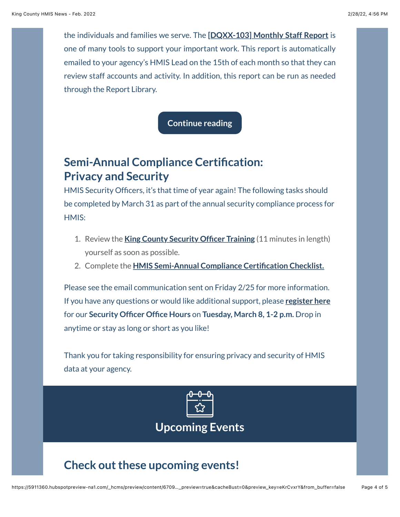the individuals and families we serve. The **[\[DQXX-103\] Monthly Staff Report](https://help.bitfocus.com/dqxx-103-monthly-staff-report?utm_source=hs_email&utm_medium=email&_hsenc=p2ANqtz--lJ0XNV-5esi5HgRh5O4Vp-PwuoHLWXbFK2pUcquAb0POOodrlKe2H8AYpi3WjLtHQCNXD)** is one of many tools to support your important work. This report is automatically emailed to your agency's HMIS Lead on the 15th of each month so that they can review staff accounts and activity. In addition, this report can be run as needed through the Report Library.

**[Continue reading](https://www.bitfocus.com/hubfs/CoAd%20Newsletters/King%20County/Report%20Spotlight%20-%20Feb.%20King.pdf?utm_source=hs_email&utm_medium=email&_hsenc=p2ANqtz--lJ0XNV-5esi5HgRh5O4Vp-PwuoHLWXbFK2pUcquAb0POOodrlKe2H8AYpi3WjLtHQCNXD)**

## **Semi-Annual Compliance Certification: Privacy and Security**

HMIS Security Officers, it's that time of year again! The following tasks should be completed by March 31 as part of the annual security compliance process for HMIS:

- 1. Review the **[King County Security Officer Training](https://training.bitfocus.com/king-county-hmis-security-officer-training-2018?__hstc=56888245.166fff7a839b602296ba23bc55465f11.1607456846613.1612211888994.1612474007611.41&__hssc=56888245.2.1612474007611&__hsfp=2488032809&utm_source=hs_email&utm_medium=email&_hsenc=p2ANqtz--lJ0XNV-5esi5HgRh5O4Vp-PwuoHLWXbFK2pUcquAb0POOodrlKe2H8AYpi3WjLtHQCNXD)** (11 minutes in length) yourself as soon as possible.
- 2. Complete the **[HMIS Semi-Annual Compliance Certification Checklist.](https://www.bitfocus.com/hubfs/Community%20Admin%20Sites/King%20County%20-%20Community%20Admin%20Site/Forms%20and%20Guides/King%20County%20General%20Forms/Agency%20Agreements%20and%20Policies/King%20County%20HMIS%20Semi-Annual%20Compliance%20Certification%20Checklist%20(2019).pdf?hsLang=en&utm_source=hs_email&utm_medium=email&_hsenc=p2ANqtz--lJ0XNV-5esi5HgRh5O4Vp-PwuoHLWXbFK2pUcquAb0POOodrlKe2H8AYpi3WjLtHQCNXD)**

Please see the email communication sent on Friday 2/25 for more information. If you have any questions or would like additional support, please **[register here](https://bitfocus.zoom.us/meeting/register/tJwrduChrDsuHdCxCwsOUsSU3lsAO5-1zYY0?utm_source=hs_email&utm_medium=email&_hsenc=p2ANqtz--lJ0XNV-5esi5HgRh5O4Vp-PwuoHLWXbFK2pUcquAb0POOodrlKe2H8AYpi3WjLtHQCNXD)** for our **Security Officer Office Hours** on **Tuesday, March 8, 1-2 p.m.** Drop in anytime or stay as long or short as you like!

Thank you for taking responsibility for ensuring privacy and security of HMIS data at your agency.



**Upcoming Events**

# **Check out these upcoming events!**